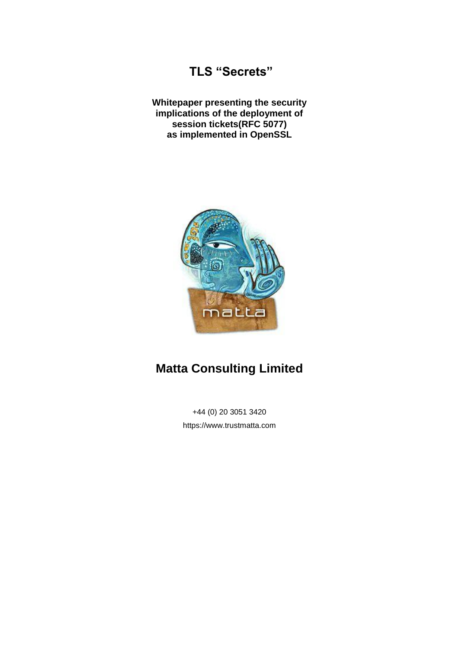# **TLS "Secrets"**

**Whitepaper presenting the security implications of the deployment of session tickets(RFC 5077) as implemented in OpenSSL**



# **Matta Consulting Limited**

+44 (0) 20 3051 3420 https://www.trustmatta.com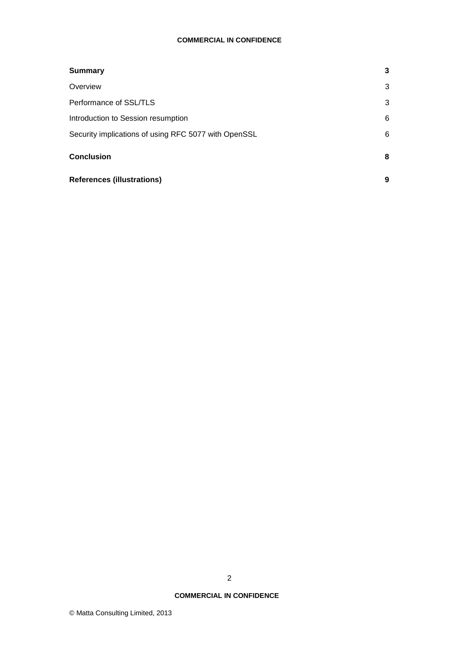### **COMMERCIAL IN CONFIDENCE**

| <b>Summary</b>                                       | 3 |
|------------------------------------------------------|---|
| Overview                                             | 3 |
| Performance of SSL/TLS                               | 3 |
| Introduction to Session resumption                   | 6 |
| Security implications of using RFC 5077 with OpenSSL | 6 |
| <b>Conclusion</b>                                    | 8 |
| <b>References (illustrations)</b>                    | 9 |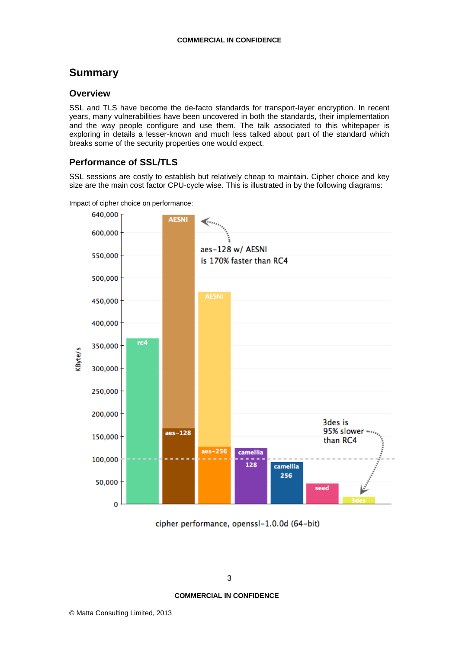# <span id="page-2-0"></span>**Summary**

### <span id="page-2-1"></span>**Overview**

SSL and TLS have become the de-facto standards for transport-layer encryption. In recent years, many vulnerabilities have been uncovered in both the standards, their implementation and the way people configure and use them. The talk associated to this whitepaper is exploring in details a lesser-known and much less talked about part of the standard which breaks some of the security properties one would expect.

# <span id="page-2-2"></span>**Performance of SSL/TLS**

SSL sessions are costly to establish but relatively cheap to maintain. Cipher choice and key size are the main cost factor CPU-cycle wise. This is illustrated in by the following diagrams:





cipher performance, openssl-1.0.0d (64-bit)

## **COMMERCIAL IN CONFIDENCE**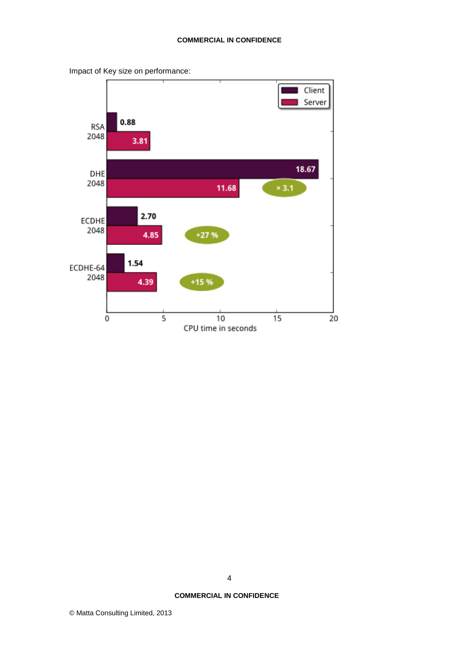

Impact of Key size on performance:

4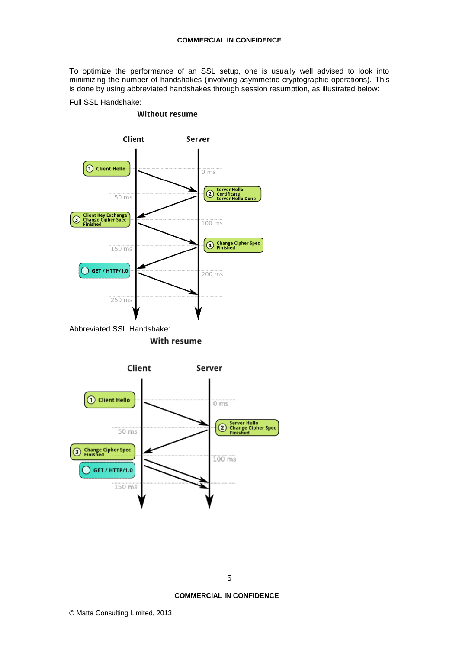To optimize the performance of an SSL setup, one is usually well advised to look into minimizing the number of handshakes (involving asymmetric cryptographic operations). This is done by using abbreviated handshakes through session resumption, as illustrated below:

Full SSL Handshake:

#### **Without resume**



Abbreviated SSL Handshake:**With resume** 



#### **COMMERCIAL IN CONFIDENCE**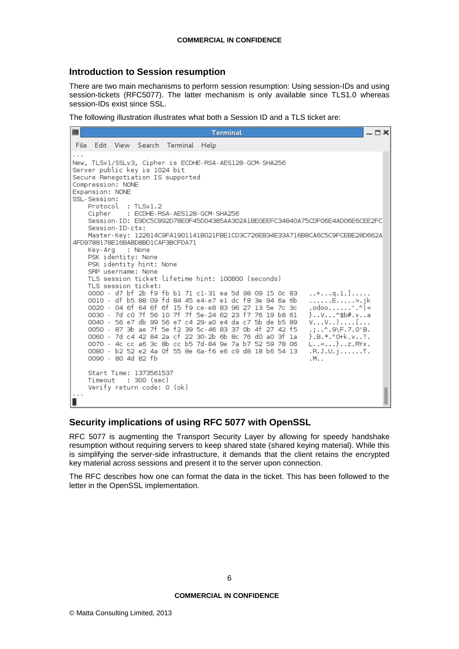## <span id="page-5-0"></span>**Introduction to Session resumption**

There are two main mechanisms to perform session resumption: Using session-IDs and using session-tickets (RFC5077). The latter mechanism is only available since TLS1.0 whereas session-IDs exist since SSL.

The following illustration illustrates what both a Session ID and a TLS ticket are:

## <span id="page-5-1"></span>**Security implications of using RFC 5077 with OpenSSL**

RFC 5077 is augmenting the Transport Security Layer by allowing for speedy handshake resumption without requiring servers to keep shared state (shared keying material). While this is simplifying the server-side infrastructure, it demands that the client retains the encrypted key material across sessions and present it to the server upon connection.

The RFC describes how one can format the data in the ticket. This has been followed to the letter in the OpenSSL implementation.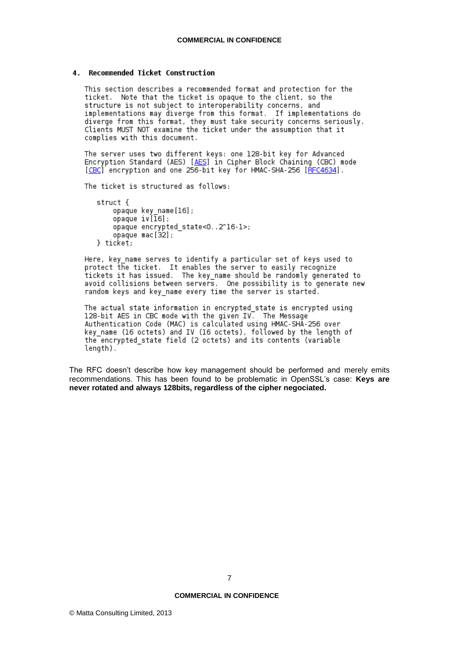#### 4. Recommended Ticket Construction

This section describes a recommended format and protection for the ticket. Note that the ticket is opaque to the client, so the structure is not subject to interoperability concerns, and implementations may diverge from this format. If implementations do diverge from this format, they must take security concerns seriously.<br>Clients MUST NOT examine the ticket under the assumption that it complies with this document.

The server uses two different keys: one 128-bit key for Advanced Encryption Standard (AES) [AES] in Cipher Block Chaining (CBC) mode [CBC] encryption and one 256-bit key for HMAC-SHA-256 [RFC4634].

The ticket is structured as follows:

struct { ...<br>opaque key\_name[16];<br>opaque iv[16]; opaque encrypted state<0..2^16-1>; opaque mac[32]; } ticket.

Here, key name serves to identify a particular set of keys used to protect the ticket. It enables the server to easily recognize tickets it has issued. The key name should be randomly generated to avoid collisions between servers. One possibility is to generate new random keys and key name every time the server is started.

The actual state information in encrypted state is encrypted using 128-bit AES in CBC mode with the given IV. The Message Authentication Code (MAC) is calculated using HMAC-SHA-256 over key\_name (16 octets) and IV (16 octets), followed by the length of the encrypted\_state field (2 octets) and its contents (variable length).

The RFC doesn't describe how key management should be performed and merely emits recommendations. This has been found to be problematic in OpenSSL's case: **Keys are never rotated and always 128bits, regardless of the cipher negociated.**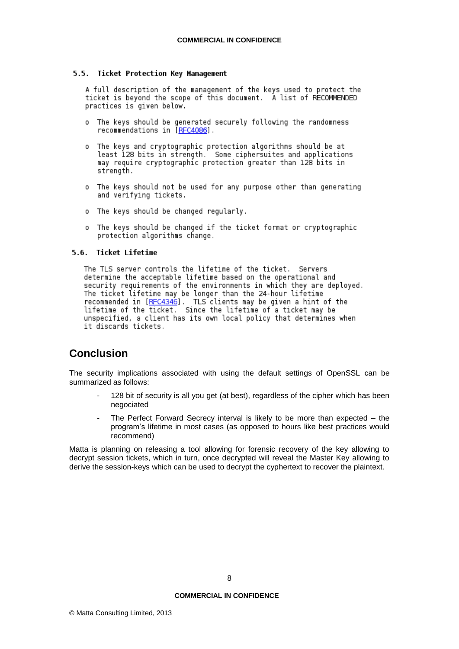#### 5.5. Ticket Protection Key Management

A full description of the management of the keys used to protect the ticket is beyond the scope of this document. A list of RECOMMENDED practices is given below.

- o The keys should be generated securely following the randomness recommendations in  $[REC4086]$ .
- o The keys and cryptographic protection algorithms should be at least 128 bits in strength. Some ciphersuites and applications may require cryptographic protection greater than 128 bits in strength.
- o The keys should not be used for any purpose other than generating and verifying tickets.
- o The keys should be changed regularly.
- o The keys should be changed if the ticket format or cryptographic protection algorithms change.

#### 5.6. Ticket Lifetime

The TLS server controls the lifetime of the ticket. Servers determine the acceptable lifetime based on the operational and<br>security requirements of the environments in which they are deployed. The ticket lifetime may be longer than the 24-hour lifetime recommended in [RFC4346]. TLS clients may be given a hint of the lifetime of the ticket. Since the lifetime of a ticket may be unspecified, a client has its own local policy that determines when it discards tickets.

# <span id="page-7-0"></span>**Conclusion**

The security implications associated with using the default settings of OpenSSL can be summarized as follows:

- 128 bit of security is all you get (at best), regardless of the cipher which has been negociated
- The Perfect Forward Secrecy interval is likely to be more than expected  $-$  the program's lifetime in most cases (as opposed to hours like best practices would recommend)

Matta is planning on releasing a tool allowing for forensic recovery of the key allowing to decrypt session tickets, which in turn, once decrypted will reveal the Master Key allowing to derive the session-keys which can be used to decrypt the cyphertext to recover the plaintext.